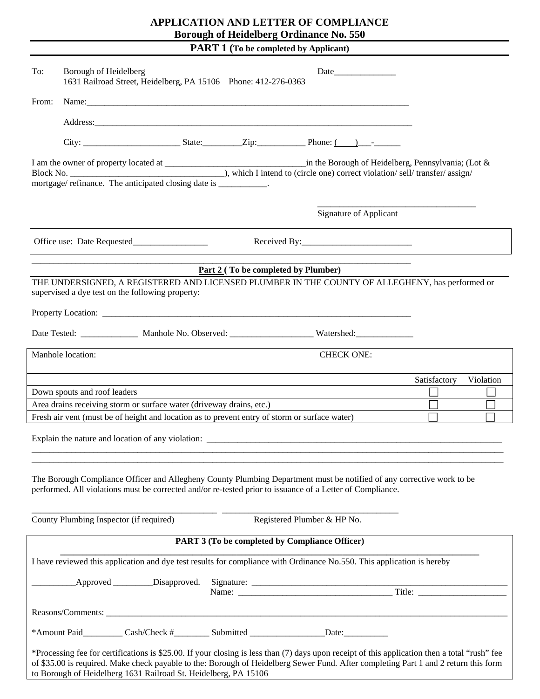## **APPLICATION AND LETTER OF COMPLIANCE Borough of Heidelberg Ordinance No. 550**

**PART 1 (To be completed by Applicant)** 

| To:                                                                                                  | Borough of Heidelberg | 1631 Railroad Street, Heidelberg, PA 15106 Phone: 412-276-0363  |                                            |                                                                                                                                                                                                                                                                                      |  |              |           |
|------------------------------------------------------------------------------------------------------|-----------------------|-----------------------------------------------------------------|--------------------------------------------|--------------------------------------------------------------------------------------------------------------------------------------------------------------------------------------------------------------------------------------------------------------------------------------|--|--------------|-----------|
| From:                                                                                                |                       |                                                                 |                                            |                                                                                                                                                                                                                                                                                      |  |              |           |
|                                                                                                      |                       |                                                                 |                                            |                                                                                                                                                                                                                                                                                      |  |              |           |
|                                                                                                      |                       |                                                                 |                                            |                                                                                                                                                                                                                                                                                      |  |              |           |
|                                                                                                      |                       |                                                                 |                                            |                                                                                                                                                                                                                                                                                      |  |              |           |
|                                                                                                      |                       |                                                                 |                                            | <b>Signature of Applicant</b>                                                                                                                                                                                                                                                        |  |              |           |
|                                                                                                      |                       |                                                                 |                                            |                                                                                                                                                                                                                                                                                      |  |              |           |
|                                                                                                      |                       |                                                                 |                                            |                                                                                                                                                                                                                                                                                      |  |              |           |
|                                                                                                      |                       | supervised a dye test on the following property:                | <u>Part 2</u> (To be completed by Plumber) | THE UNDERSIGNED, A REGISTERED AND LICENSED PLUMBER IN THE COUNTY OF ALLEGHENY, has performed or                                                                                                                                                                                      |  |              |           |
|                                                                                                      |                       |                                                                 |                                            |                                                                                                                                                                                                                                                                                      |  |              |           |
|                                                                                                      |                       |                                                                 |                                            | Date Tested: Manhole No. Observed: Watershed:                                                                                                                                                                                                                                        |  |              |           |
|                                                                                                      | Manhole location:     |                                                                 |                                            | <b>CHECK ONE:</b>                                                                                                                                                                                                                                                                    |  |              |           |
|                                                                                                      |                       |                                                                 |                                            |                                                                                                                                                                                                                                                                                      |  | Satisfactory | Violation |
| Down spouts and roof leaders<br>Area drains receiving storm or surface water (driveway drains, etc.) |                       |                                                                 |                                            |                                                                                                                                                                                                                                                                                      |  |              |           |
| Fresh air vent (must be of height and location as to prevent entry of storm or surface water)        |                       |                                                                 |                                            |                                                                                                                                                                                                                                                                                      |  |              |           |
|                                                                                                      |                       |                                                                 |                                            |                                                                                                                                                                                                                                                                                      |  |              |           |
|                                                                                                      |                       |                                                                 |                                            |                                                                                                                                                                                                                                                                                      |  |              |           |
|                                                                                                      |                       |                                                                 |                                            | The Borough Compliance Officer and Allegheny County Plumbing Department must be notified of any corrective work to be<br>performed. All violations must be corrected and/or re-tested prior to issuance of a Letter of Compliance.                                                   |  |              |           |
|                                                                                                      |                       | County Plumbing Inspector (if required)                         |                                            | Registered Plumber & HP No.                                                                                                                                                                                                                                                          |  |              |           |
|                                                                                                      |                       |                                                                 |                                            | PART 3 (To be completed by Compliance Officer)                                                                                                                                                                                                                                       |  |              |           |
|                                                                                                      |                       |                                                                 |                                            | I have reviewed this application and dye test results for compliance with Ordinance No.550. This application is hereby                                                                                                                                                               |  |              |           |
|                                                                                                      |                       |                                                                 |                                            |                                                                                                                                                                                                                                                                                      |  |              |           |
|                                                                                                      |                       |                                                                 |                                            |                                                                                                                                                                                                                                                                                      |  |              |           |
|                                                                                                      |                       |                                                                 |                                            | *Amount Paid___________Cash/Check #___________Submitted ___________________Date:____________________                                                                                                                                                                                 |  |              |           |
|                                                                                                      |                       | to Borough of Heidelberg 1631 Railroad St. Heidelberg, PA 15106 |                                            | *Processing fee for certifications is \$25.00. If your closing is less than (7) days upon receipt of this application then a total "rush" fee<br>of \$35.00 is required. Make check payable to the: Borough of Heidelberg Sewer Fund. After completing Part 1 and 2 return this form |  |              |           |